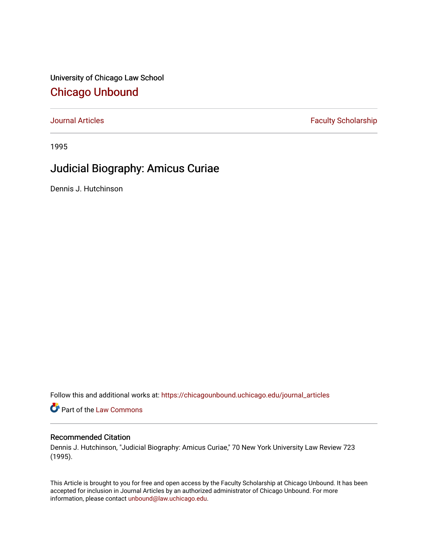University of Chicago Law School [Chicago Unbound](https://chicagounbound.uchicago.edu/)

[Journal Articles](https://chicagounbound.uchicago.edu/journal_articles) **Faculty Scholarship Faculty Scholarship** 

1995

# Judicial Biography: Amicus Curiae

Dennis J. Hutchinson

Follow this and additional works at: [https://chicagounbound.uchicago.edu/journal\\_articles](https://chicagounbound.uchicago.edu/journal_articles?utm_source=chicagounbound.uchicago.edu%2Fjournal_articles%2F1530&utm_medium=PDF&utm_campaign=PDFCoverPages) 

Part of the [Law Commons](http://network.bepress.com/hgg/discipline/578?utm_source=chicagounbound.uchicago.edu%2Fjournal_articles%2F1530&utm_medium=PDF&utm_campaign=PDFCoverPages)

#### Recommended Citation

Dennis J. Hutchinson, "Judicial Biography: Amicus Curiae," 70 New York University Law Review 723 (1995).

This Article is brought to you for free and open access by the Faculty Scholarship at Chicago Unbound. It has been accepted for inclusion in Journal Articles by an authorized administrator of Chicago Unbound. For more information, please contact [unbound@law.uchicago.edu](mailto:unbound@law.uchicago.edu).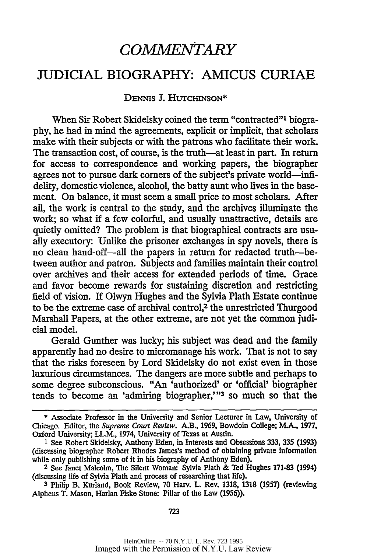# *COMMENTARY*

### JUDICIAL BIOGRAPHY: AMICUS CURIAE

#### DENNS **J.** HUTCHINSON\*

When Sir Robert Skidelsky coined the term "contracted"' biography, he had in mind the agreements, explicit or implicit, that scholars make with their subjects or with the patrons who facilitate their work. The transaction cost, of course, is the truth-at least in part. In return for access to correspondence and working papers, the biographer agrees not to pursue dark corners of the subject's private world—infidelity, domestic violence, alcohol, the batty aunt who lives in the basement. On balance, it must seem a small price to most scholars. After all, the work is central to the study, and the archives illuminate the work; so what if a few colorful, and usually unattractive, details are quietly omitted? The problem is that biographical contracts are usually executory: Unlike the prisoner exchanges in spy novels, there is no clean hand-off--all the papers in return for redacted truth-between author and patron. Subjects and families maintain their control over archives and their access for extended periods of time. Grace and favor become rewards for sustaining discretion and restricting field of vision. If Olwyn Hughes and the Sylvia Plath Estate continue to be the extreme case of archival control,<sup>2</sup> the unrestricted Thurgood Marshall Papers, at the other extreme, are not yet the common judicial model.

Gerald Gunther was lucky; his subject was dead and the family apparently had no desire to micromanage his work. That is not to say that the risks foreseen by Lord Skidelsky do not exist even in those luxurious circumstances. The dangers are more subtle and perhaps to some degree subconscious. "An 'authorized' or 'official' biographer tends to become an 'admiring biographer,'" 3 so much so that the

723

<sup>\*</sup> Associate Professor in the University and Senior Lecturer in Law, University of Chicago. Editor, the *Supreme Court Review.* A.B., 1969, Bowdoin College; M.A., 1977, Oxford University, LL.M., 1974, University of Texas at Austin.

**<sup>1</sup>** See Robert Skidelsky, Anthony Eden, in Interests and Obsessions 333, 335 (1993) (discussing biographer Robert Rhodes James's method of obtaining private information while only publishing some of it in his biography of Anthony Eden).

**<sup>2</sup>**See Janet Malcolm, The Silent Woman: Sylvia Plath & Ted Hughes 171-83 (1994) (discussing life of Sylvia Plath and process of researching that life).

**<sup>3</sup>** Philip B. Kurland, Book Review, 70 Harv. L. Rev. 1318, 1318 (1957) (reviewing Alpheus T. Mason, Harlan Fiske Stone: Pillar of the Law (1956)).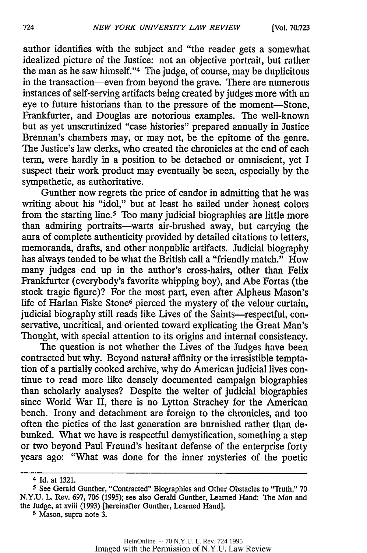author identifies with the subject and "the reader gets a somewhat idealized picture of the Justice: not an objective portrait, but rather the man as he saw himself."<sup>4</sup> The judge, of course, may be duplicitous in the transaction-even from beyond the grave. There are numerous instances of self-serving artifacts being created by judges more with an eye to future historians than to the pressure of the moment-Stone, Frankfurter, and Douglas are notorious examples. The well-known but as yet unscrutinized "case histories" prepared annually in Justice Brennan's chambers may, or may not, be the epitome of the genre. The Justice's law clerks, who created the chronicles at the end of each term, were hardly in a position to be detached or omniscient, yet I suspect their work product may eventually be seen, especially by the sympathetic, as authoritative.

Gunther now regrets the price of candor in admitting that he was writing about his "idol," but at least he sailed under honest colors from the starting line.5 Too many judicial biographies are little more than admiring portraits-warts air-brushed away, but carrying the aura of complete authenticity provided by detailed citations to letters, memoranda, drafts, and other nonpublic artifacts. Judicial biography has always tended to be what the British call a "friendly match." How many judges end up in the author's cross-hairs, other than Felix Frankfurter (everybody's favorite whipping boy), and Abe Fortas (the stock tragic figure)? For the most part, even after Alpheus Mason's life of Harlan Fiske Stone<sup>6</sup> pierced the mystery of the velour curtain, judicial biography still reads like Lives of the Saints-respectful, conservative, uncritical, and oriented toward explicating the Great Man's Thought, with special attention to its origins and internal consistency.

The question is not whether the Lives of the Judges have been contracted but why. Beyond natural affinity or the irresistible temptation of a partially cooked archive, why do American judicial lives continue to read more like densely documented campaign biographies than scholarly analyses? Despite the welter of judicial biographies since World War II, there is no Lytton Strachey for the American bench. Irony and detachment are foreign to the chronicles, and too often the pieties of the last generation are burnished rather than debunked. What we have is respectful demystification, something a step or two beyond Paul Freund's hesitant defense of the enterprise forty years ago: "What was done for the inner mysteries of the poetic

<sup>4</sup> Id. at 1321.

**<sup>5</sup>**See Gerald Gunther, "Contracted" Biographies and Other Obstacles to "Truth," 70 N.Y.U. L. Rev. 697, 706 (1995); see also Gerald Gunther, Learned Hand: The Man and the Judge, at xviii (1993) [hereinafter Gunther, Learned Hand].

**<sup>6</sup>**Mason, supra note 3.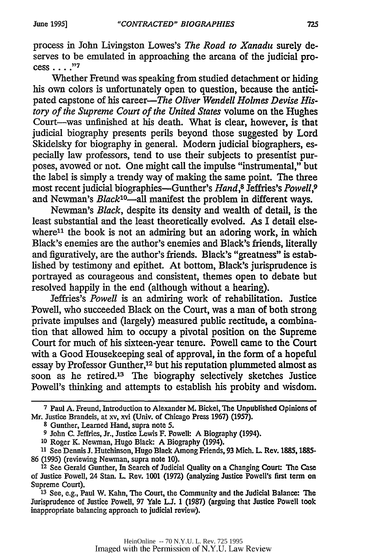process in John Livingston Lowes's *The Road to Xanadu* surely deserves to be emulated in approaching the arcana of the judicial process .... **,"7**

Whether Freund was speaking from studied detachment or hiding his own colors is unfortunately open to question, because the anticipated capstone of his career—The Oliver Wendell Holmes Devise His*tory of the Supreme Court of the United States* volume on the Hughes Court-was unfinished at his death. What is clear, however, is that judicial biography presents perils beyond those suggested by Lord Skidelsky for biography in general. Modern judicial biographers, especially law professors, tend to use their subjects to presentist purposes, avowed or not. One might call the impulse "instrumental," but the label is simply a trendy way of making the same point. The three most recent judicial biographies-Gunther's *Hand,8* Jeffries's *Powell,9* and Newman's *Black'0-all* manifest the problem in different ways.

Newman's *Black,* despite its density and wealth of detail, is the least substantial and the least theoretically evolved. As I detail elsewhere $11$  the book is not an admiring but an adoring work, in which Black's enemies are the author's enemies and Black's friends, literally and figuratively, are the author's friends. Black's "greatness" is established by testimony and epithet. At bottom, Black's jurisprudence is portrayed as courageous and consistent, themes open to debate but resolved happily in the end (although without a hearing).

Jeffries's *Powell* is an admiring work of rehabilitation. Justice Powell, who succeeded Black on the Court, was a man of both strong private impulses and (largely) measured public rectitude, a combination that allowed him to occupy a pivotal position on the Supreme Court for much of his sixteen-year tenure. Powell came to the Court with a Good Housekeeping seal of approval, in the form of a hopeful essay by Professor Gunther,<sup>12</sup> but his reputation plummeted almost as soon as he retired.<sup>13</sup> The biography selectively sketches Justice Powell's thinking and attempts to establish his probity and wisdom.

**<sup>7</sup>**Paul A. Freund, Introduction to Alexander M. Bickel, Tbe Unpublished Opinions of Mr. Justice Brandeis, at xv, xvi (Univ. of Chicago Press 1967) (1957).

**<sup>8</sup>** Gunther, Learned Hand, supra note 5.

**<sup>9</sup>** John C. Jeffries, Jr., Justice Lewis F. Powell: A Biography (1994).

**<sup>10</sup>**Roger K. Newman, Hugo Black: A Biography (1994).

**<sup>11</sup>**See Dennis J. Hutchinson, Hugo Black Among Friends, 93 Mich. L Rev. **1885,1885-** 86 (1995) (reviewing Newman, supra note 10).

**<sup>12</sup>**See Gerald Gunther, In Search of Judicial Quality on a Changing Court: The Case of Justice Powell, 24 Stan. L. Rev. 1001 (1972) (analyzing Justice Powell's first term on Supreme Court).

**<sup>13</sup>**See, e.g., Paul W. Kahn, The Court, the Community and the Judicial Balance: The Jurisprudence of Justice Powell, 97 Yale L.J. 1 (1987) (arguing that Justice Powell took inappropriate balancing approach to judicial review).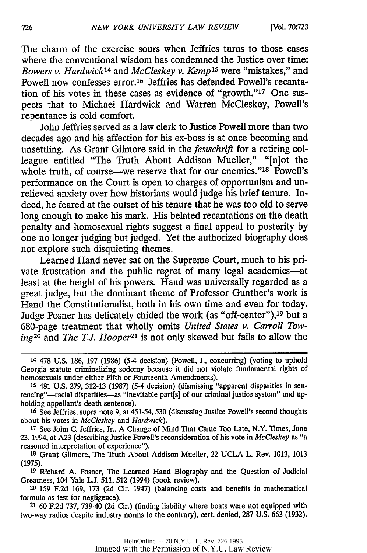The charm of the exercise sours when Jeffries turns to those cases where the conventional wisdom has condemned the Justice over time: *Bowers v. Hardwick14* and *McCleskey v. Kemp <sup>15</sup>*were "mistakes," and Powell now confesses error.<sup>16</sup> Jeffries has defended Powell's recantation of his votes in these cases as evidence of "growth."<sup>17</sup> One suspects that to Michael Hardwick and Warren McCleskey, Powell's repentance is cold comfort.

John Jeffries served as a law clerk to Justice Powell more than two decades ago and his affection for his ex-boss is at once becoming and unsettling. As Grant Gilmore said in the *festschrift* for a retiring colleague entitled "The Truth About Addison Mueller," "[n]ot the whole truth, of course—we reserve that for our enemies."<sup>18</sup> Powell's performance on the Court is open to charges of opportunism and unrelieved anxiety over how historians would judge his brief tenure. Indeed, he feared at the outset of his tenure that he was too old to serve long enough to make his mark. His belated recantations on the death penalty and homosexual rights suggest a final appeal to posterity by one no longer judging but judged. Yet the authorized biography does not explore such disquieting themes.

Learned Hand never sat on the Supreme Court, much to his private frustration and the public regret of many legal academics-at least at the height of his powers. Hand was universally regarded as a great judge, but the dominant theme of Professor Gunther's work is Hand the Constitutionalist, both in his own time and even for today. Judge Posner has delicately chided the work (as "off-center"), 19 but a 680-page treatment that wholly omits *United States v. Carroll Towing*<sup>20</sup> and *The T.J. Hooper*<sup>21</sup> is not only skewed but fails to allow the

**<sup>17</sup>**See John C. Jeffries, Jr., A Change of Mind That Came Too Late, N.Y. Times, June 23, 1994, at A23 (describing Justice Powell's reconsideration of his vote in *McCleskey* as "a reasoned interpretation of experience").

**<sup>18</sup>**Grant Gilmore, The Truth About Addison Mueller, 22 UCLA L. Rev. 1013, 1013 (1975).

**<sup>19</sup>**Richard A. Posner, The Learned Hand Biography and the Question of Judicial Greatness, 104 Yale **L.J.** 511, 512 (1994) (book review).

20 159 F.2d 169, 173 (2d Cir. 1947) (balancing costs and benefits in mathematical formula as test for negligence).

21 60 F.2d 737, 739-40 (2d Cir.) (finding liability where boats were not equipped with two-way radios despite industry norms to the contrary), cert. denied, 287 U.S. 662 (1932).

<sup>14 478</sup> **U.S.** 186, 197 (1986) (5-4 decision) (Powell, J., concurring) (voting to uphold Georgia statute criminalizing sodomy because it did not violate fundamental rights of homosexuals under either Fifth or Fourteenth Amendments).

**<sup>15</sup>** 481 U.S. 279, 312-13 (1987) (5-4 decision) (dismissing "apparent disparities in sentencing"--racial disparities-as "inevitable part[s] of our criminal justice system" and upholding appellant's death sentence).

**<sup>16</sup>**See Jeffries, supra note 9, at 451-54, 530 (discussing Justice Powell's second thoughts about his votes in *McCleskey* and *Hardwick).*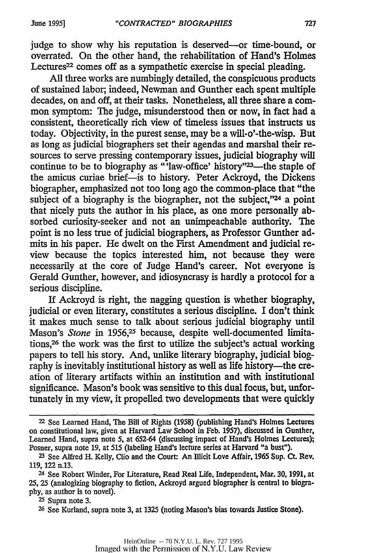judge to show why his reputation is deserved---or time-bound, or overrated. On the other hand, the rehabilitation of Hand's Holmes Lectures<sup>22</sup> comes off as a sympathetic exercise in special pleading.

All three works are numbingly detailed, the conspicuous products of sustained labor; indeed, Newman and Gunther each spent multiple decades, on and off, at their tasks. Nonetheless, all three share a common symptom: The judge, misunderstood then or now, in fact had a consistent, theoretically rich view of timeless issues that instructs us today. Objectivity, in the purest sense, may be a wiU-o'-the-wisp. But as long as judicial biographers set their agendas and marshal their resources to serve pressing contemporary issues, judicial biography will continue to be to biography as "'law-office' history"<sup>23</sup>—the staple of the amicus curiae brief-is to history. Peter Ackroyd, the Dickens biographer, emphasized not too long ago the common-place that "the subject of a biography is the biographer, not the subject,"<sup>24</sup> a point that nicely puts the author in his place, as one more personally absorbed curiosity-seeker and not an unimpeachable authority. The point is no less true of judicial biographers, as Professor Gunther admits in his paper. He dwelt on the First Amendment and judicial review because the topics interested him, not because they were necessarily at the core of Judge Hand's career. Not everyone is Gerald Gunther, however, and idiosyncrasy is hardly a protocol for a serious discipline.

If Ackroyd is right, the nagging question is whether biography, judicial or even literary, constitutes a serious discipline. I don't think it makes much sense to talk about serious judicial biography until Mason's *Stone* in 1956,<sup>25</sup> because, despite well-documented limitations,26 the work was the first to utilize the subject's actual working papers to tell his story. And, unlike literary biography, judicial biography is inevitably institutional history as well as life history-the creation of literary artifacts within an institution and with institutional significance. Mason's book was sensitive to this dual focus, but, unfortunately in my view, it propelled two developments that were quickly

**<sup>25</sup>**Supra note 3.

**<sup>26</sup>**See Kurland, supra note 3, at 1325 (noting Mason's bias towards Justice Stone).

<sup>22</sup>See Learned Hand, The Bill of Rights **(1958)** (publishing Hand's Holmes Lectures on constitutional law, given at Harvard Law School in Feb. 1957), discussed in Gunther, Learned Hand, supra note 5, at 652-64 (discussing impact of Hand's Holmes Lectures); Posner, supra note 19, at 515 (labeling Hand's lecture series at Harvard "a bust").

**<sup>23</sup>**See Alfred H. Kelly, Clio and the Court: An Illicit Love Affair, 1965 Sup. Ct. Rev. 119, 122 n.13.

<sup>24</sup>See Robert Winder, For Literature, Read Real Life, Independent, Mar. **30,** 1991, at 25, 25 (analogizing biography to fiction, Ackroyd argued biographer is central to biography, as author is to novel).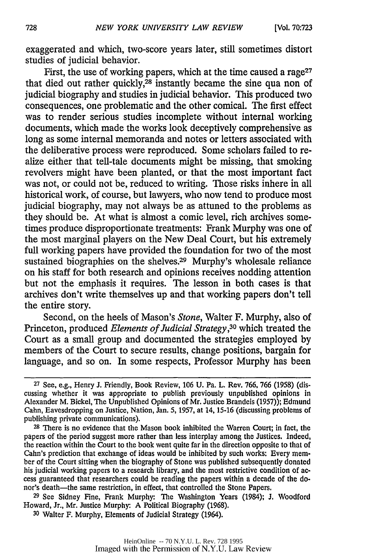exaggerated and which, two-score years later, still sometimes distort studies of judicial behavior.

First, the use of working papers, which at the time caused a rage<sup>27</sup> that died out rather quickly, $28$  instantly became the sine qua non of judicial biography and studies in judicial behavior. This produced two consequences, one problematic and the other comical. The first effect was to render serious studies incomplete without internal working documents, which made the works look deceptively comprehensive as long as some internal memoranda and notes or letters associated with the deliberative process were reproduced. Some scholars failed to realize either that tell-tale documents might be missing, that smoking revolvers might have been planted, or that the most important fact was not, or could not be, reduced to writing. Those risks inhere in all historical work, of course, but lawyers, who now tend to produce most judicial biography, may not always be as attuned to the problems as they should be. At what is almost a comic level, rich archives sometimes produce disproportionate treatments: Frank Murphy was one of the most marginal players on the New Deal Court, but his extremely full working papers have provided the foundation for two of the most sustained biographies on the shelves.29 Murphy's wholesale reliance on his staff for both research and opinions receives nodding attention but not the emphasis it requires. The lesson in both cases is that archives don't write themselves up and that working papers don't tell the entire story.

Second, on the heels of Mason's *Stone,* Walter F. Murphy, also of Princeton, produced *Elements of Judicial Strategy,30* which treated the Court as a small group and documented the strategies employed by members of the Court to secure results, change positions, bargain for language, and so on. In some respects, Professor Murphy has been

**<sup>29</sup>**See Sidney Fine, Frank Murphy: The Washington Years (1984); *J.* Woodford Howard, Jr., Mr. Justice Murphy: A Political Biography (1968).

**<sup>30</sup>**Walter F. Murphy, Elements of Judicial Strategy (1964).

**<sup>27</sup>** See, e.g., Henry J. Friendly, Book Review, 106 U. Pa. L. Rev. 766, 766 (1958) (discussing whether it was appropriate to publish previously unpublished opinions in Alexander M. Bickel, The Unpublished Opinions of Mr. Justice Brandeis (1957)); Edmund Cahn, Eavesdropping on Justice, Nation, Jan. 5, 1957, at 14, 15-16 (discussing problems of publishing private communications).

**<sup>28</sup>**There is no evidence that the Mason book inhibited the Warren Court; in fact, the papers of the period suggest more rather than less interplay among the Justices. Indeed, the reaction within the Court to the book went quite far in the direction opposite to that of Cahn's prediction that exchange of ideas would be inhibited by such works: Every member of the Court sitting when the biography of Stone was published subsequently donated his judicial working papers to a research library, and the most restrictive condition of access guaranteed that researchers could be reading the papers within a decade of the donor's death-the same restriction, in effect, that controlled the Stone Papers.